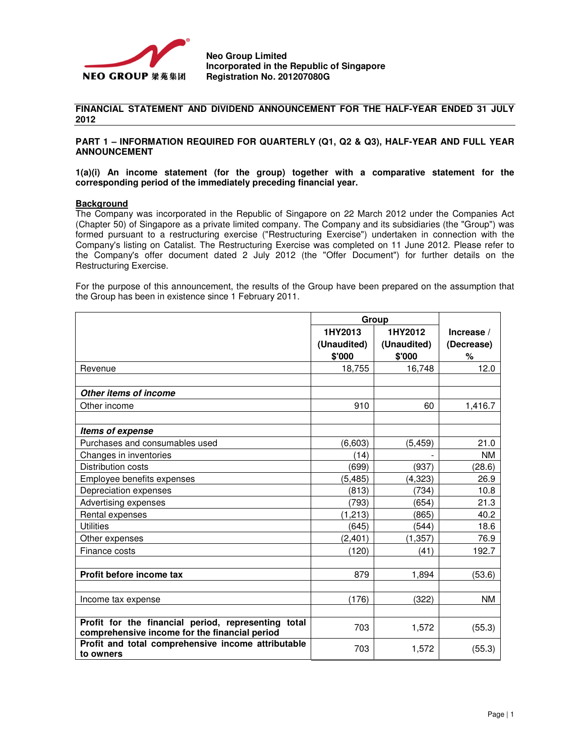

**Neo Group Limited Incorporated in the Republic of Singapore Registration No. 201207080G** 

## **FINANCIAL STATEMENT AND DIVIDEND ANNOUNCEMENT FOR THE HALF-YEAR ENDED 31 JULY 2012**

**PART 1 – INFORMATION REQUIRED FOR QUARTERLY (Q1, Q2 & Q3), HALF-YEAR AND FULL YEAR ANNOUNCEMENT**

**1(a)(i) An income statement (for the group) together with a comparative statement for the corresponding period of the immediately preceding financial year.** 

#### **Background**

The Company was incorporated in the Republic of Singapore on 22 March 2012 under the Companies Act (Chapter 50) of Singapore as a private limited company. The Company and its subsidiaries (the "Group") was formed pursuant to a restructuring exercise ("Restructuring Exercise") undertaken in connection with the Company's listing on Catalist. The Restructuring Exercise was completed on 11 June 2012. Please refer to the Company's offer document dated 2 July 2012 (the "Offer Document") for further details on the Restructuring Exercise.

For the purpose of this announcement, the results of the Group have been prepared on the assumption that the Group has been in existence since 1 February 2011.

|                                                                                                      | Group       |             |            |
|------------------------------------------------------------------------------------------------------|-------------|-------------|------------|
|                                                                                                      | 1HY2013     | 1HY2012     | Increase / |
|                                                                                                      | (Unaudited) | (Unaudited) | (Decrease) |
|                                                                                                      | \$'000      | \$'000      | %          |
| Revenue                                                                                              | 18,755      | 16,748      | 12.0       |
|                                                                                                      |             |             |            |
| Other items of income                                                                                |             |             |            |
| Other income                                                                                         | 910         | 60          | 1,416.7    |
|                                                                                                      |             |             |            |
| Items of expense                                                                                     |             |             |            |
| Purchases and consumables used                                                                       | (6,603)     | (5, 459)    | 21.0       |
| Changes in inventories                                                                               | (14)        |             | <b>NM</b>  |
| Distribution costs                                                                                   | (699)       | (937)       | (28.6)     |
| Employee benefits expenses                                                                           | (5, 485)    | (4, 323)    | 26.9       |
| Depreciation expenses                                                                                | (813)       | (734)       | 10.8       |
| Advertising expenses                                                                                 | (793)       | (654)       | 21.3       |
| Rental expenses                                                                                      | (1.213)     | (865)       | 40.2       |
| <b>Utilities</b>                                                                                     | (645)       | (544)       | 18.6       |
| Other expenses                                                                                       | (2, 401)    | (1, 357)    | 76.9       |
| Finance costs                                                                                        | (120)       | (41)        | 192.7      |
|                                                                                                      |             |             |            |
| Profit before income tax                                                                             | 879         | 1,894       | (53.6)     |
|                                                                                                      |             |             |            |
| Income tax expense                                                                                   | (176)       | (322)       | NM.        |
|                                                                                                      |             |             |            |
| Profit for the financial period, representing total<br>comprehensive income for the financial period | 703         | 1,572       | (55.3)     |
| Profit and total comprehensive income attributable<br>to owners                                      | 703         | 1,572       | (55.3)     |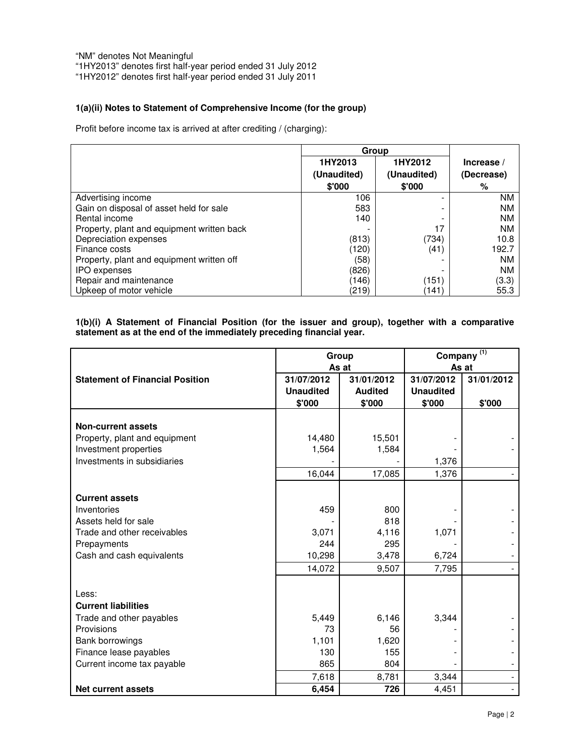"NM" denotes Not Meaningful

"1HY2013" denotes first half-year period ended 31 July 2012

"1HY2012" denotes first half-year period ended 31 July 2011

# **1(a)(ii) Notes to Statement of Comprehensive Income (for the group)**

Profit before income tax is arrived at after crediting / (charging):

|                                            | Group       |             |            |
|--------------------------------------------|-------------|-------------|------------|
|                                            | 1HY2013     | 1HY2012     | Increase / |
|                                            | (Unaudited) | (Unaudited) | (Decrease) |
|                                            | \$'000      | \$'000      | %          |
| Advertising income                         | 106         | -           | <b>NM</b>  |
| Gain on disposal of asset held for sale    | 583         | -           | <b>NM</b>  |
| Rental income                              | 140         |             | <b>NM</b>  |
| Property, plant and equipment written back |             | 17          | NM         |
| Depreciation expenses                      | (813)       | (734)       | 10.8       |
| Finance costs                              | (120)       | (41)        | 192.7      |
| Property, plant and equipment written off  | (58)        |             | <b>NM</b>  |
| <b>IPO</b> expenses                        | (826)       |             | NM         |
| Repair and maintenance                     | (146)       | (151)       | (3.3)      |
| Upkeep of motor vehicle                    | (219)       | (141        | 55.3       |

# **1(b)(i) A Statement of Financial Position (for the issuer and group), together with a comparative statement as at the end of the immediately preceding financial year.**

|                                                                                                                                                          | Group<br>As at                           |                                              | Company <sup>(1)</sup><br>As at          |                      |
|----------------------------------------------------------------------------------------------------------------------------------------------------------|------------------------------------------|----------------------------------------------|------------------------------------------|----------------------|
| <b>Statement of Financial Position</b>                                                                                                                   | 31/07/2012<br><b>Unaudited</b><br>\$'000 | 31/01/2012<br><b>Audited</b><br>\$'000       | 31/07/2012<br><b>Unaudited</b><br>\$'000 | 31/01/2012<br>\$'000 |
| <b>Non-current assets</b><br>Property, plant and equipment<br>Investment properties                                                                      | 14,480<br>1,564                          | 15,501<br>1,584                              |                                          |                      |
| Investments in subsidiaries                                                                                                                              | 16,044                                   | 17,085                                       | 1,376<br>1,376                           |                      |
| <b>Current assets</b><br>Inventories<br>Assets held for sale<br>Trade and other receivables<br>Prepayments<br>Cash and cash equivalents                  | 459<br>3,071<br>244<br>10,298<br>14,072  | 800<br>818<br>4,116<br>295<br>3,478<br>9,507 | 1,071<br>6,724<br>7,795                  |                      |
| Less:<br><b>Current liabilities</b><br>Trade and other payables<br>Provisions<br>Bank borrowings<br>Finance lease payables<br>Current income tax payable | 5,449<br>73<br>1,101<br>130<br>865       | 6,146<br>56<br>1,620<br>155<br>804           | 3,344                                    |                      |
| <b>Net current assets</b>                                                                                                                                | 7,618<br>6,454                           | 8,781<br>726                                 | 3,344<br>4,451                           |                      |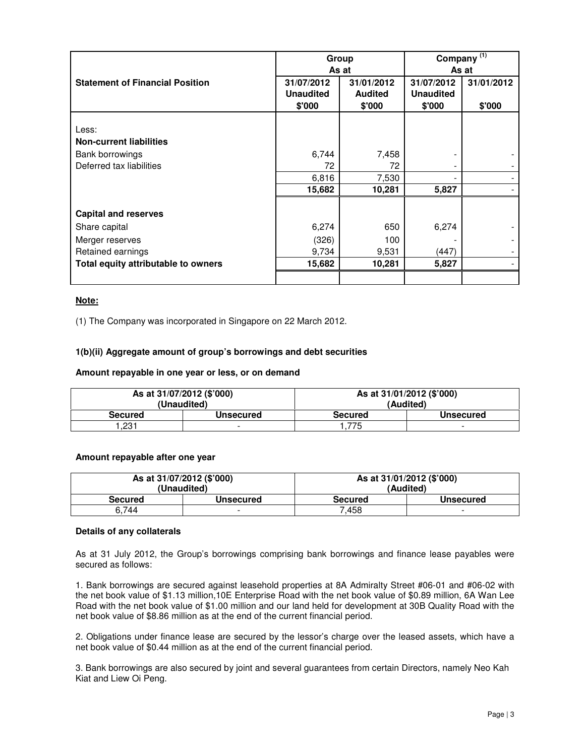|                                        | Group            |                | Company $\overline{^{(1)}}$ |            |
|----------------------------------------|------------------|----------------|-----------------------------|------------|
|                                        |                  | As at          |                             | As at      |
| <b>Statement of Financial Position</b> | 31/07/2012       | 31/01/2012     | 31/07/2012                  | 31/01/2012 |
|                                        | <b>Unaudited</b> | <b>Audited</b> | <b>Unaudited</b>            |            |
|                                        | \$'000           | \$'000         | \$'000                      | \$'000     |
|                                        |                  |                |                             |            |
| Less:                                  |                  |                |                             |            |
| <b>Non-current liabilities</b>         |                  |                |                             |            |
| Bank borrowings                        | 6,744            | 7,458          |                             |            |
| Deferred tax liabilities               | 72               | 72             |                             |            |
|                                        | 6,816            | 7,530          |                             |            |
|                                        | 15,682           | 10,281         | 5,827                       |            |
|                                        |                  |                |                             |            |
| <b>Capital and reserves</b>            |                  |                |                             |            |
| Share capital                          | 6,274            | 650            | 6,274                       |            |
| Merger reserves                        | (326)            | 100            |                             |            |
| Retained earnings                      | 9,734            | 9,531          | (447)                       |            |
| Total equity attributable to owners    | 15,682           | 10,281         | 5,827                       |            |
|                                        |                  |                |                             |            |

# **Note:**

(1) The Company was incorporated in Singapore on 22 March 2012.

## **1(b)(ii) Aggregate amount of group's borrowings and debt securities**

## **Amount repayable in one year or less, or on demand**

| As at 31/07/2012 (\$'000)<br>(Unaudited) |           | As at 31/01/2012 (\$'000)<br>(Audited) |                  |
|------------------------------------------|-----------|----------------------------------------|------------------|
| <b>Secured</b>                           | Unsecured | <b>Secured</b>                         | <b>Unsecured</b> |
| .231                                     |           | .775                                   |                  |

# **Amount repayable after one year**

| As at 31/07/2012 (\$'000) |           | As at 31/01/2012 (\$'000) |                  |
|---------------------------|-----------|---------------------------|------------------|
| (Unaudited)               |           | (Audited)                 |                  |
| <b>Secured</b>            | Unsecured | <b>Secured</b>            | <b>Unsecured</b> |
| 6.744                     | -         | 7.458                     | -                |

## **Details of any collaterals**

As at 31 July 2012, the Group's borrowings comprising bank borrowings and finance lease payables were secured as follows:

1. Bank borrowings are secured against leasehold properties at 8A Admiralty Street #06-01 and #06-02 with the net book value of \$1.13 million,10E Enterprise Road with the net book value of \$0.89 million, 6A Wan Lee Road with the net book value of \$1.00 million and our land held for development at 30B Quality Road with the net book value of \$8.86 million as at the end of the current financial period.

2. Obligations under finance lease are secured by the lessor's charge over the leased assets, which have a net book value of \$0.44 million as at the end of the current financial period.

3. Bank borrowings are also secured by joint and several guarantees from certain Directors, namely Neo Kah Kiat and Liew Oi Peng.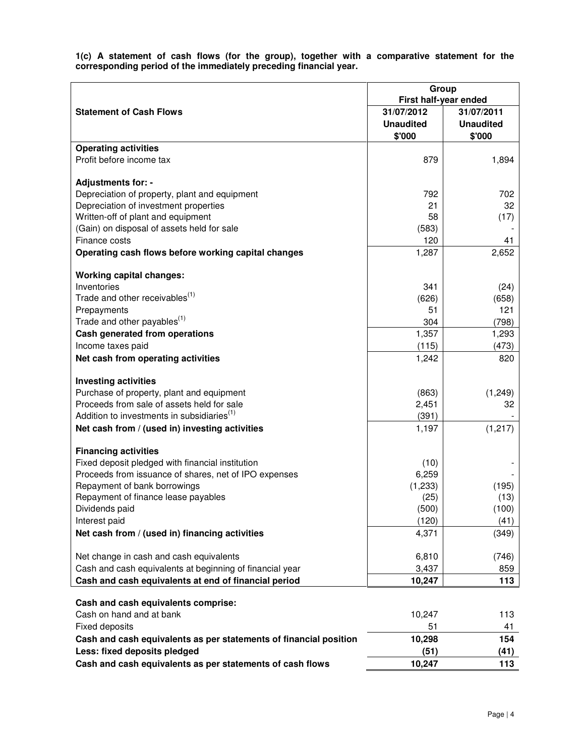**1(c) A statement of cash flows (for the group), together with a comparative statement for the corresponding period of the immediately preceding financial year.** 

|                                                                                                      | Group<br>First half-year ended |                  |
|------------------------------------------------------------------------------------------------------|--------------------------------|------------------|
| <b>Statement of Cash Flows</b>                                                                       | 31/07/2012                     | 31/07/2011       |
|                                                                                                      | <b>Unaudited</b>               | <b>Unaudited</b> |
|                                                                                                      | \$'000                         | \$'000           |
| <b>Operating activities</b>                                                                          |                                |                  |
| Profit before income tax                                                                             | 879                            | 1,894            |
|                                                                                                      |                                |                  |
| Adjustments for: -                                                                                   |                                |                  |
| Depreciation of property, plant and equipment                                                        | 792                            | 702              |
| Depreciation of investment properties                                                                | 21                             | 32               |
| Written-off of plant and equipment                                                                   | 58                             | (17)             |
| (Gain) on disposal of assets held for sale                                                           | (583)                          |                  |
| Finance costs                                                                                        | 120                            | 41               |
| Operating cash flows before working capital changes                                                  | 1,287                          | 2,652            |
| <b>Working capital changes:</b>                                                                      |                                |                  |
| Inventories                                                                                          | 341                            | (24)             |
| Trade and other receivables <sup>(1)</sup>                                                           | (626)                          | (658)            |
| Prepayments                                                                                          | 51                             | 121              |
| Trade and other payables <sup>(1)</sup>                                                              | 304                            | (798)            |
| Cash generated from operations                                                                       | 1,357                          | 1,293            |
| Income taxes paid                                                                                    | (115)                          | (473)            |
| Net cash from operating activities                                                                   | 1,242                          | 820              |
|                                                                                                      |                                |                  |
| <b>Investing activities</b>                                                                          |                                |                  |
| Purchase of property, plant and equipment                                                            | (863)                          | (1, 249)         |
| Proceeds from sale of assets held for sale<br>Addition to investments in subsidiaries <sup>(1)</sup> | 2,451<br>(391)                 | 32               |
| Net cash from / (used in) investing activities                                                       | 1,197                          | (1, 217)         |
|                                                                                                      |                                |                  |
| <b>Financing activities</b>                                                                          |                                |                  |
| Fixed deposit pledged with financial institution                                                     | (10)                           |                  |
| Proceeds from issuance of shares, net of IPO expenses                                                | 6,259                          |                  |
| Repayment of bank borrowings                                                                         | (1,233)                        | (195)            |
| Repayment of finance lease payables                                                                  | (25)                           | (13)             |
| Dividends paid                                                                                       | (500)                          | (100)            |
| Interest paid                                                                                        | (120)                          | (41)             |
| Net cash from / (used in) financing activities                                                       | 4,371                          | (349)            |
| Net change in cash and cash equivalents                                                              | 6,810                          | (746)            |
| Cash and cash equivalents at beginning of financial year                                             | 3,437                          | 859              |
| Cash and cash equivalents at end of financial period                                                 | 10,247                         | 113              |
|                                                                                                      |                                |                  |
| Cash and cash equivalents comprise:                                                                  |                                |                  |
| Cash on hand and at bank                                                                             | 10,247                         | 113              |
| <b>Fixed deposits</b>                                                                                | 51                             | 41               |
| Cash and cash equivalents as per statements of financial position                                    | 10,298                         | 154              |
| Less: fixed deposits pledged                                                                         | (51)                           | (41)             |
| Cash and cash equivalents as per statements of cash flows                                            | 10,247                         | 113              |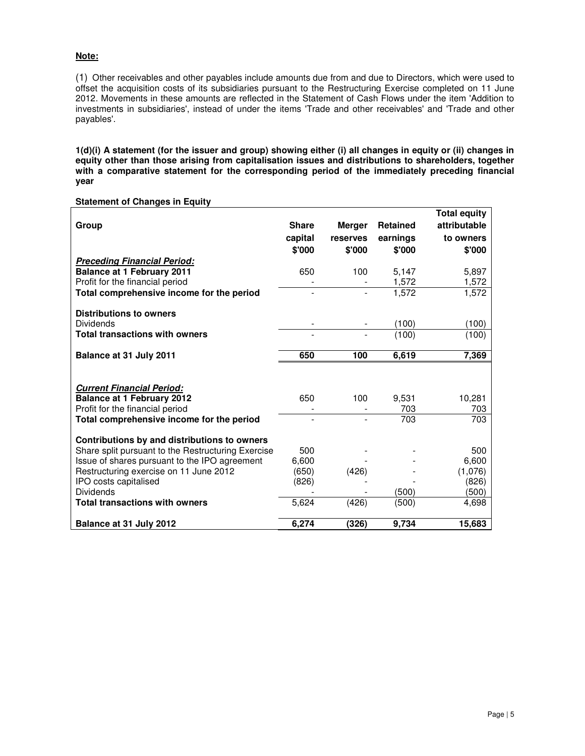# **Note:**

(1) Other receivables and other payables include amounts due from and due to Directors, which were used to offset the acquisition costs of its subsidiaries pursuant to the Restructuring Exercise completed on 11 June 2012. Movements in these amounts are reflected in the Statement of Cash Flows under the item 'Addition to investments in subsidiaries', instead of under the items 'Trade and other receivables' and 'Trade and other payables'.

**1(d)(i) A statement (for the issuer and group) showing either (i) all changes in equity or (ii) changes in equity other than those arising from capitalisation issues and distributions to shareholders, together with a comparative statement for the corresponding period of the immediately preceding financial year** 

| Group                                              | <b>Share</b><br>capital<br>\$'000 | <b>Merger</b><br>reserves<br>\$'000 | <b>Retained</b><br>earnings<br>\$'000 | <b>Total equity</b><br>attributable<br>to owners<br>\$'000 |
|----------------------------------------------------|-----------------------------------|-------------------------------------|---------------------------------------|------------------------------------------------------------|
| <b>Preceding Financial Period:</b>                 |                                   |                                     |                                       |                                                            |
| <b>Balance at 1 February 2011</b>                  | 650                               | 100                                 | 5,147                                 | 5,897                                                      |
| Profit for the financial period                    |                                   |                                     | 1,572                                 | 1,572                                                      |
| Total comprehensive income for the period          |                                   |                                     | 1.572                                 | 1,572                                                      |
| <b>Distributions to owners</b>                     |                                   |                                     |                                       |                                                            |
| <b>Dividends</b>                                   |                                   |                                     | (100)                                 | (100)                                                      |
| <b>Total transactions with owners</b>              |                                   |                                     | (100)                                 | (100)                                                      |
| Balance at 31 July 2011                            | 650                               | 100                                 | 6,619                                 | 7,369                                                      |
|                                                    |                                   |                                     |                                       |                                                            |
| <b>Current Financial Period:</b>                   |                                   |                                     |                                       |                                                            |
| <b>Balance at 1 February 2012</b>                  | 650                               | 100                                 | 9,531                                 | 10,281                                                     |
| Profit for the financial period                    |                                   |                                     | 703                                   | 703                                                        |
| Total comprehensive income for the period          |                                   |                                     | 703                                   | 703                                                        |
| Contributions by and distributions to owners       |                                   |                                     |                                       |                                                            |
| Share split pursuant to the Restructuring Exercise | 500                               |                                     |                                       | 500                                                        |
| Issue of shares pursuant to the IPO agreement      | 6,600                             |                                     |                                       | 6,600                                                      |
| Restructuring exercise on 11 June 2012             | (650)                             | (426)                               |                                       | (1,076)                                                    |
| IPO costs capitalised                              | (826)                             |                                     |                                       | (826)                                                      |
| <b>Dividends</b>                                   |                                   |                                     | (500)                                 | (500)                                                      |
| <b>Total transactions with owners</b>              | 5,624                             | (426)                               | (500)                                 | 4,698                                                      |
| Balance at 31 July 2012                            | 6,274                             | (326)                               | 9,734                                 | 15,683                                                     |

**Statement of Changes in Equity**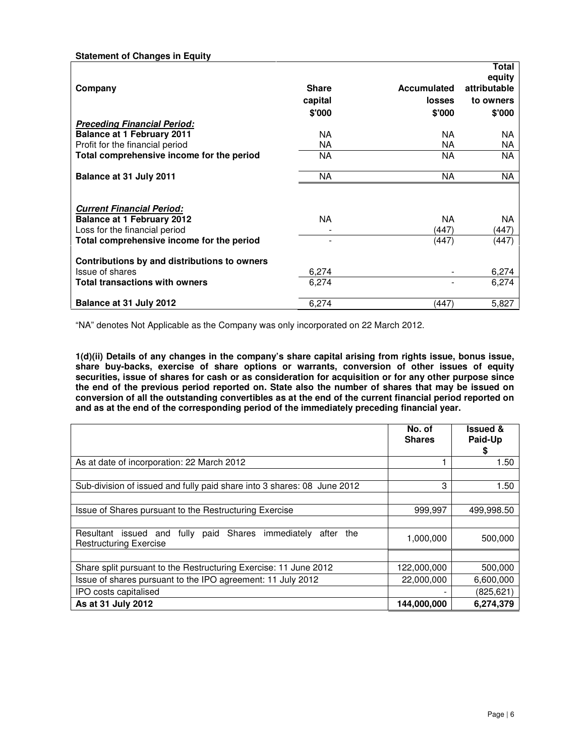# **Statement of Changes in Equity**

|                                              |              |               | <b>Total</b><br>equity |
|----------------------------------------------|--------------|---------------|------------------------|
| Company                                      | <b>Share</b> | Accumulated   | attributable           |
|                                              | capital      | <b>losses</b> | to owners              |
|                                              | \$'000       | \$'000        | \$'000                 |
| <b>Preceding Financial Period:</b>           |              |               |                        |
| <b>Balance at 1 February 2011</b>            | NA.          | NA.           | ΝA                     |
| Profit for the financial period              | ΝA           | NA.           | ΝA                     |
| Total comprehensive income for the period    | NA           | NA            | <b>NA</b>              |
| Balance at 31 July 2011                      | NA           | NA            | <b>NA</b>              |
| <b>Current Financial Period:</b>             |              |               |                        |
| <b>Balance at 1 February 2012</b>            | NA.          | NA.           | ΝA                     |
| Loss for the financial period                |              | (447)         | (447)                  |
| Total comprehensive income for the period    |              | (447)         | (447)                  |
| Contributions by and distributions to owners |              |               |                        |
| Issue of shares                              | 6,274        |               | 6,274                  |
| <b>Total transactions with owners</b>        | 6,274        |               | 6,274                  |
| Balance at 31 July 2012                      | 6,274        | (447)         | 5,827                  |

"NA" denotes Not Applicable as the Company was only incorporated on 22 March 2012.

**1(d)(ii) Details of any changes in the company's share capital arising from rights issue, bonus issue, share buy-backs, exercise of share options or warrants, conversion of other issues of equity securities, issue of shares for cash or as consideration for acquisition or for any other purpose since the end of the previous period reported on. State also the number of shares that may be issued on conversion of all the outstanding convertibles as at the end of the current financial period reported on and as at the end of the corresponding period of the immediately preceding financial year.** 

|                                                                                                  | No. of<br><b>Shares</b> | <b>Issued &amp;</b><br>Paid-Up<br>S |
|--------------------------------------------------------------------------------------------------|-------------------------|-------------------------------------|
| As at date of incorporation: 22 March 2012                                                       |                         | 1.50                                |
| Sub-division of issued and fully paid share into 3 shares: 08 June 2012                          | 3                       | 1.50                                |
| Issue of Shares pursuant to the Restructuring Exercise                                           | 999,997                 | 499,998.50                          |
| Resultant issued and fully paid Shares immediately<br>after the<br><b>Restructuring Exercise</b> | 1,000,000               | 500.000                             |
|                                                                                                  |                         |                                     |
| Share split pursuant to the Restructuring Exercise: 11 June 2012                                 | 122,000,000             | 500,000                             |
| Issue of shares pursuant to the IPO agreement: 11 July 2012                                      | 22,000,000              | 6,600,000                           |
| IPO costs capitalised                                                                            |                         | (825, 621)                          |
| As at 31 July 2012                                                                               | 144,000,000             | 6.274.379                           |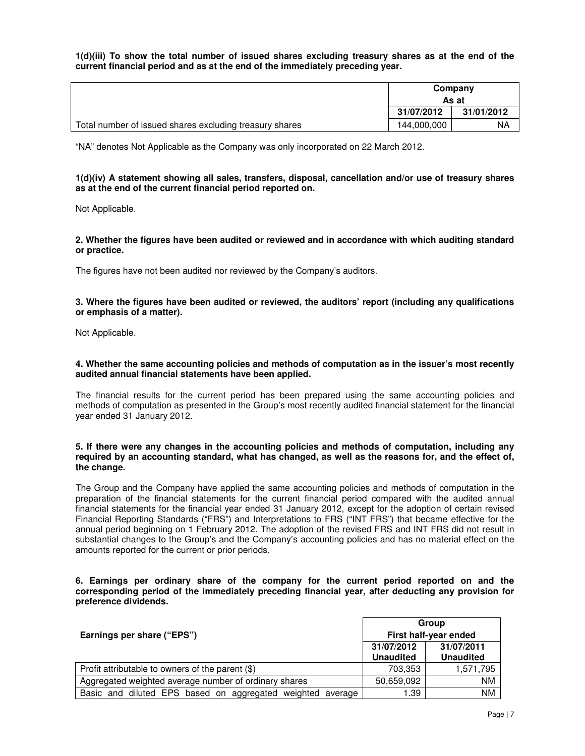**1(d)(iii) To show the total number of issued shares excluding treasury shares as at the end of the current financial period and as at the end of the immediately preceding year.** 

|                                                         | Company     |            |
|---------------------------------------------------------|-------------|------------|
|                                                         | As at       |            |
|                                                         | 31/07/2012  | 31/01/2012 |
| Total number of issued shares excluding treasury shares | 144,000,000 | NA         |

"NA" denotes Not Applicable as the Company was only incorporated on 22 March 2012.

## **1(d)(iv) A statement showing all sales, transfers, disposal, cancellation and/or use of treasury shares as at the end of the current financial period reported on.**

Not Applicable.

## **2. Whether the figures have been audited or reviewed and in accordance with which auditing standard or practice.**

The figures have not been audited nor reviewed by the Company's auditors.

## **3. Where the figures have been audited or reviewed, the auditors' report (including any qualifications or emphasis of a matter).**

Not Applicable.

## **4. Whether the same accounting policies and methods of computation as in the issuer's most recently audited annual financial statements have been applied.**

The financial results for the current period has been prepared using the same accounting policies and methods of computation as presented in the Group's most recently audited financial statement for the financial year ended 31 January 2012.

## **5. If there were any changes in the accounting policies and methods of computation, including any required by an accounting standard, what has changed, as well as the reasons for, and the effect of, the change.**

The Group and the Company have applied the same accounting policies and methods of computation in the preparation of the financial statements for the current financial period compared with the audited annual financial statements for the financial year ended 31 January 2012, except for the adoption of certain revised Financial Reporting Standards ("FRS") and Interpretations to FRS ("INT FRS") that became effective for the annual period beginning on 1 February 2012. The adoption of the revised FRS and INT FRS did not result in substantial changes to the Group's and the Company's accounting policies and has no material effect on the amounts reported for the current or prior periods.

## **6. Earnings per ordinary share of the company for the current period reported on and the corresponding period of the immediately preceding financial year, after deducting any provision for preference dividends.**

|                                                            | Group                          |                                |
|------------------------------------------------------------|--------------------------------|--------------------------------|
| Earnings per share ("EPS")                                 | First half-year ended          |                                |
|                                                            | 31/07/2012<br><b>Unaudited</b> | 31/07/2011<br><b>Unaudited</b> |
| Profit attributable to owners of the parent (\$)           | 703,353                        | 1,571,795                      |
| Aggregated weighted average number of ordinary shares      | 50,659,092                     | <b>NM</b>                      |
| Basic and diluted EPS based on aggregated weighted average | 1.39                           | <b>NM</b>                      |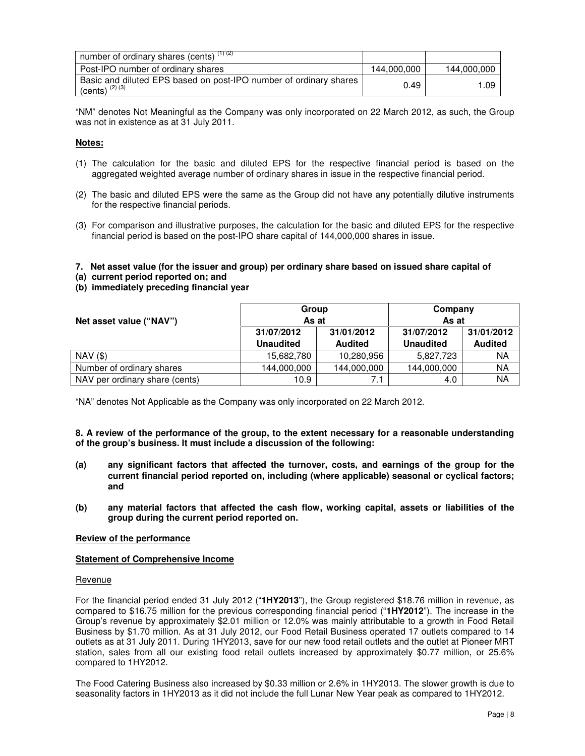| number of ordinary shares (cents) $(1)(2)$                                               |             |             |
|------------------------------------------------------------------------------------------|-------------|-------------|
| Post-IPO number of ordinary shares                                                       | 144,000,000 | 144,000,000 |
| Basic and diluted EPS based on post-IPO number of ordinary shares<br>(cents) $(2)$ $(3)$ | 0.49        | 1.09        |

"NM" denotes Not Meaningful as the Company was only incorporated on 22 March 2012, as such, the Group was not in existence as at 31 July 2011.

## **Notes:**

- (1) The calculation for the basic and diluted EPS for the respective financial period is based on the aggregated weighted average number of ordinary shares in issue in the respective financial period.
- (2) The basic and diluted EPS were the same as the Group did not have any potentially dilutive instruments for the respective financial periods.
- (3) For comparison and illustrative purposes, the calculation for the basic and diluted EPS for the respective financial period is based on the post-IPO share capital of 144,000,000 shares in issue.

## **7. Net asset value (for the issuer and group) per ordinary share based on issued share capital of**

- **(a) current period reported on; and**
- **(b) immediately preceding financial year**

|                                | Group            |                | Company          |                |
|--------------------------------|------------------|----------------|------------------|----------------|
| Net asset value ("NAV")        | As at            |                | As at            |                |
|                                | 31/07/2012       | 31/01/2012     | 31/07/2012       | 31/01/2012     |
|                                | <b>Unaudited</b> | <b>Audited</b> | <b>Unaudited</b> | <b>Audited</b> |
| $NAV($ \$)                     | 15,682,780       | 10,280,956     | 5,827,723        | ΝA             |
| Number of ordinary shares      | 144,000,000      | 144,000,000    | 144,000,000      | <b>NA</b>      |
| NAV per ordinary share (cents) | 10.9             |                | 4.0              | <b>NA</b>      |

"NA" denotes Not Applicable as the Company was only incorporated on 22 March 2012.

**8. A review of the performance of the group, to the extent necessary for a reasonable understanding of the group's business. It must include a discussion of the following:**

- **(a) any significant factors that affected the turnover, costs, and earnings of the group for the current financial period reported on, including (where applicable) seasonal or cyclical factors; and**
- **(b) any material factors that affected the cash flow, working capital, assets or liabilities of the group during the current period reported on.**

## **Review of the performance**

## **Statement of Comprehensive Income**

#### Revenue

For the financial period ended 31 July 2012 ("**1HY2013**"), the Group registered \$18.76 million in revenue, as compared to \$16.75 million for the previous corresponding financial period ("**1HY2012**"). The increase in the Group's revenue by approximately \$2.01 million or 12.0% was mainly attributable to a growth in Food Retail Business by \$1.70 million. As at 31 July 2012, our Food Retail Business operated 17 outlets compared to 14 outlets as at 31 July 2011. During 1HY2013, save for our new food retail outlets and the outlet at Pioneer MRT station, sales from all our existing food retail outlets increased by approximately \$0.77 million, or 25.6% compared to 1HY2012.

The Food Catering Business also increased by \$0.33 million or 2.6% in 1HY2013. The slower growth is due to seasonality factors in 1HY2013 as it did not include the full Lunar New Year peak as compared to 1HY2012.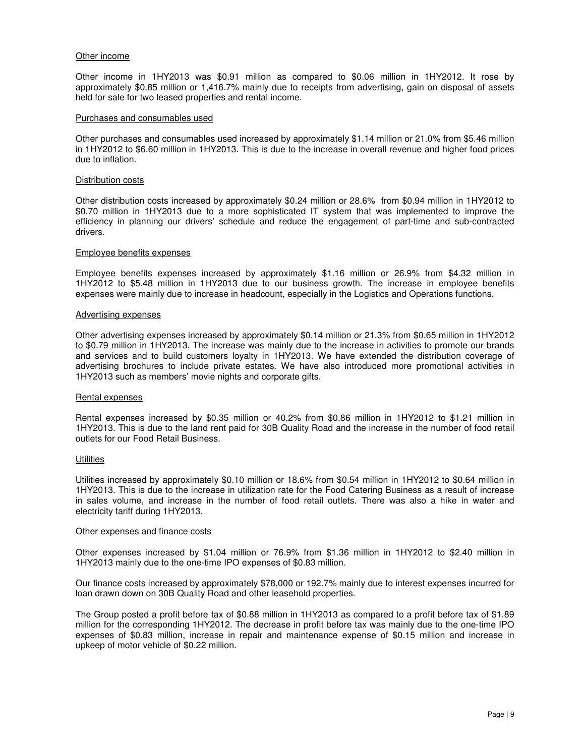#### Other income

Other income in 1HY2013 was \$0.91 million as compared to \$0.06 million in 1HY2012. It rose by approximately \$0.85 million or 1,416.7% mainly due to receipts from advertising, gain on disposal of assets held for sale for two leased properties and rental income.

#### Purchases and consumables used

Other purchases and consumables used increased by approximately \$1.14 million or 21.0% from \$5.46 million in 1HY2012 to \$6.60 million in 1HY2013. This is due to the increase in overall revenue and higher food prices due to inflation.

#### Distribution costs

Other distribution costs increased by approximately \$0.24 million or 28.6% from \$0.94 million in 1HY2012 to \$0.70 million in 1HY2013 due to a more sophisticated IT system that was implemented to improve the efficiency in planning our drivers' schedule and reduce the engagement of part-time and sub-contracted drivers.

#### Employee benefits expenses

Employee benefits expenses increased by approximately \$1.16 million or 26.9% from \$4.32 million in 1HY2012 to \$5.48 million in 1HY2013 due to our business growth. The increase in employee benefits expenses were mainly due to increase in headcount, especially in the Logistics and Operations functions.

#### Advertising expenses

Other advertising expenses increased by approximately \$0.14 million or 21.3% from \$0.65 million in 1HY2012 to \$0.79 million in 1HY2013. The increase was mainly due to the increase in activities to promote our brands and services and to build customers loyalty in 1HY2013. We have extended the distribution coverage of advertising brochures to include private estates. We have also introduced more promotional activities in 1HY2013 such as members' movie nights and corporate gifts.

#### Rental expenses

Rental expenses increased by \$0.35 million or 40.2% from \$0.86 million in 1HY2012 to \$1.21 million in 1HY2013. This is due to the land rent paid for 30B Quality Road and the increase in the number of food retail outlets for our Food Retail Business.

### **Utilities**

Utilities increased by approximately \$0.10 million or 18.6% from \$0.54 million in 1HY2012 to \$0.64 million in 1HY2013. This is due to the increase in utilization rate for the Food Catering Business as a result of increase in sales volume, and increase in the number of food retail outlets. There was also a hike in water and electricity tariff during 1HY2013.

#### Other expenses and finance costs

Other expenses increased by \$1.04 million or 76.9% from \$1.36 million in 1HY2012 to \$2.40 million in 1HY2013 mainly due to the one-time IPO expenses of \$0.83 million.

Our finance costs increased by approximately \$78,000 or 192.7% mainly due to interest expenses incurred for loan drawn down on 30B Quality Road and other leasehold properties.

The Group posted a profit before tax of \$0.88 million in 1HY2013 as compared to a profit before tax of \$1.89 million for the corresponding 1HY2012. The decrease in profit before tax was mainly due to the one-time IPO expenses of \$0.83 million, increase in repair and maintenance expense of \$0.15 million and increase in upkeep of motor vehicle of \$0.22 million.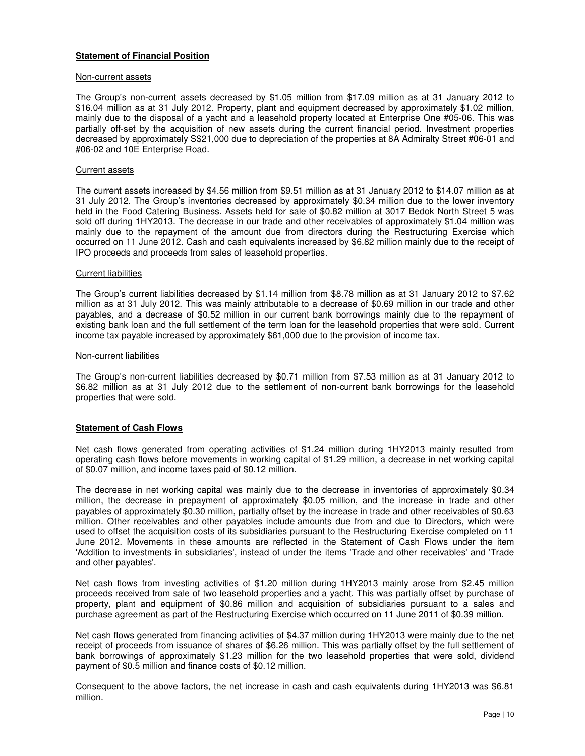## **Statement of Financial Position**

#### Non-current assets

The Group's non-current assets decreased by \$1.05 million from \$17.09 million as at 31 January 2012 to \$16.04 million as at 31 July 2012. Property, plant and equipment decreased by approximately \$1.02 million, mainly due to the disposal of a yacht and a leasehold property located at Enterprise One #05-06. This was partially off-set by the acquisition of new assets during the current financial period. Investment properties decreased by approximately S\$21,000 due to depreciation of the properties at 8A Admiralty Street #06-01 and #06-02 and 10E Enterprise Road.

#### Current assets

The current assets increased by \$4.56 million from \$9.51 million as at 31 January 2012 to \$14.07 million as at 31 July 2012. The Group's inventories decreased by approximately \$0.34 million due to the lower inventory held in the Food Catering Business. Assets held for sale of \$0.82 million at 3017 Bedok North Street 5 was sold off during 1HY2013. The decrease in our trade and other receivables of approximately \$1.04 million was mainly due to the repayment of the amount due from directors during the Restructuring Exercise which occurred on 11 June 2012. Cash and cash equivalents increased by \$6.82 million mainly due to the receipt of IPO proceeds and proceeds from sales of leasehold properties.

#### Current liabilities

The Group's current liabilities decreased by \$1.14 million from \$8.78 million as at 31 January 2012 to \$7.62 million as at 31 July 2012. This was mainly attributable to a decrease of \$0.69 million in our trade and other payables, and a decrease of \$0.52 million in our current bank borrowings mainly due to the repayment of existing bank loan and the full settlement of the term loan for the leasehold properties that were sold. Current income tax payable increased by approximately \$61,000 due to the provision of income tax.

#### Non-current liabilities

The Group's non-current liabilities decreased by \$0.71 million from \$7.53 million as at 31 January 2012 to \$6.82 million as at 31 July 2012 due to the settlement of non-current bank borrowings for the leasehold properties that were sold.

## **Statement of Cash Flows**

Net cash flows generated from operating activities of \$1.24 million during 1HY2013 mainly resulted from operating cash flows before movements in working capital of \$1.29 million, a decrease in net working capital of \$0.07 million, and income taxes paid of \$0.12 million.

The decrease in net working capital was mainly due to the decrease in inventories of approximately \$0.34 million, the decrease in prepayment of approximately \$0.05 million, and the increase in trade and other payables of approximately \$0.30 million, partially offset by the increase in trade and other receivables of \$0.63 million. Other receivables and other payables include amounts due from and due to Directors, which were used to offset the acquisition costs of its subsidiaries pursuant to the Restructuring Exercise completed on 11 June 2012. Movements in these amounts are reflected in the Statement of Cash Flows under the item 'Addition to investments in subsidiaries', instead of under the items 'Trade and other receivables' and 'Trade and other payables'.

Net cash flows from investing activities of \$1.20 million during 1HY2013 mainly arose from \$2.45 million proceeds received from sale of two leasehold properties and a yacht. This was partially offset by purchase of property, plant and equipment of \$0.86 million and acquisition of subsidiaries pursuant to a sales and purchase agreement as part of the Restructuring Exercise which occurred on 11 June 2011 of \$0.39 million.

Net cash flows generated from financing activities of \$4.37 million during 1HY2013 were mainly due to the net receipt of proceeds from issuance of shares of \$6.26 million. This was partially offset by the full settlement of bank borrowings of approximately \$1.23 million for the two leasehold properties that were sold, dividend payment of \$0.5 million and finance costs of \$0.12 million.

Consequent to the above factors, the net increase in cash and cash equivalents during 1HY2013 was \$6.81 million.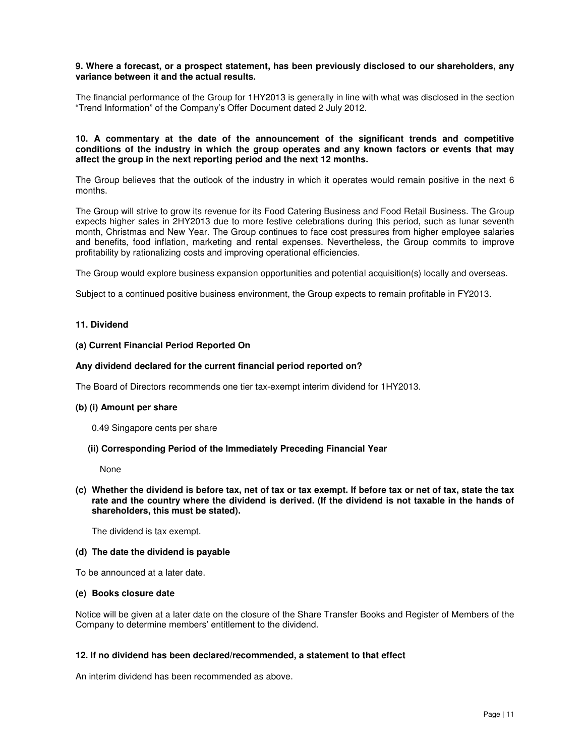## **9. Where a forecast, or a prospect statement, has been previously disclosed to our shareholders, any variance between it and the actual results.**

The financial performance of the Group for 1HY2013 is generally in line with what was disclosed in the section "Trend Information" of the Company's Offer Document dated 2 July 2012.

## **10. A commentary at the date of the announcement of the significant trends and competitive conditions of the industry in which the group operates and any known factors or events that may affect the group in the next reporting period and the next 12 months.**

The Group believes that the outlook of the industry in which it operates would remain positive in the next 6 months.

The Group will strive to grow its revenue for its Food Catering Business and Food Retail Business. The Group expects higher sales in 2HY2013 due to more festive celebrations during this period, such as lunar seventh month, Christmas and New Year. The Group continues to face cost pressures from higher employee salaries and benefits, food inflation, marketing and rental expenses. Nevertheless, the Group commits to improve profitability by rationalizing costs and improving operational efficiencies.

The Group would explore business expansion opportunities and potential acquisition(s) locally and overseas.

Subject to a continued positive business environment, the Group expects to remain profitable in FY2013.

## **11. Dividend**

#### **(a) Current Financial Period Reported On**

#### **Any dividend declared for the current financial period reported on?**

The Board of Directors recommends one tier tax-exempt interim dividend for 1HY2013.

## **(b) (i) Amount per share**

0.49 Singapore cents per share

## **(ii) Corresponding Period of the Immediately Preceding Financial Year**

None

**(c) Whether the dividend is before tax, net of tax or tax exempt. If before tax or net of tax, state the tax rate and the country where the dividend is derived. (If the dividend is not taxable in the hands of shareholders, this must be stated).**

The dividend is tax exempt.

#### **(d) The date the dividend is payable**

To be announced at a later date.

#### **(e) Books closure date**

Notice will be given at a later date on the closure of the Share Transfer Books and Register of Members of the Company to determine members' entitlement to the dividend.

## **12. If no dividend has been declared/recommended, a statement to that effect**

An interim dividend has been recommended as above.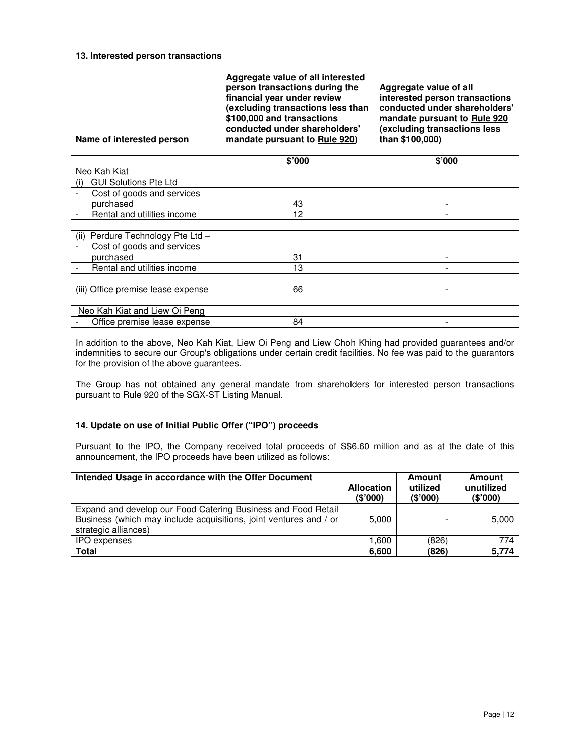## **13. Interested person transactions**

| Name of interested person            | Aggregate value of all interested<br>person transactions during the<br>financial year under review<br>(excluding transactions less than<br>\$100,000 and transactions<br>conducted under shareholders'<br>mandate pursuant to Rule 920) | Aggregate value of all<br>interested person transactions<br>conducted under shareholders'<br>mandate pursuant to Rule 920<br>(excluding transactions less<br>than \$100,000) |
|--------------------------------------|-----------------------------------------------------------------------------------------------------------------------------------------------------------------------------------------------------------------------------------------|------------------------------------------------------------------------------------------------------------------------------------------------------------------------------|
|                                      |                                                                                                                                                                                                                                         | \$'000                                                                                                                                                                       |
| Neo Kah Kiat                         | \$'000                                                                                                                                                                                                                                  |                                                                                                                                                                              |
| <b>GUI Solutions Pte Ltd</b><br>(i)  |                                                                                                                                                                                                                                         |                                                                                                                                                                              |
| Cost of goods and services           |                                                                                                                                                                                                                                         |                                                                                                                                                                              |
| purchased                            | 43                                                                                                                                                                                                                                      |                                                                                                                                                                              |
| Rental and utilities income          | 12                                                                                                                                                                                                                                      |                                                                                                                                                                              |
|                                      |                                                                                                                                                                                                                                         |                                                                                                                                                                              |
| Perdure Technology Pte Ltd -<br>(ii) |                                                                                                                                                                                                                                         |                                                                                                                                                                              |
| Cost of goods and services           |                                                                                                                                                                                                                                         |                                                                                                                                                                              |
| purchased                            | 31                                                                                                                                                                                                                                      |                                                                                                                                                                              |
| Rental and utilities income          | 13                                                                                                                                                                                                                                      |                                                                                                                                                                              |
|                                      |                                                                                                                                                                                                                                         |                                                                                                                                                                              |
| (iii) Office premise lease expense   | 66                                                                                                                                                                                                                                      |                                                                                                                                                                              |
|                                      |                                                                                                                                                                                                                                         |                                                                                                                                                                              |
| Neo Kah Kiat and Liew Oi Peng        |                                                                                                                                                                                                                                         |                                                                                                                                                                              |
| Office premise lease expense         | 84                                                                                                                                                                                                                                      |                                                                                                                                                                              |

In addition to the above, Neo Kah Kiat, Liew Oi Peng and Liew Choh Khing had provided guarantees and/or indemnities to secure our Group's obligations under certain credit facilities. No fee was paid to the guarantors for the provision of the above guarantees.

The Group has not obtained any general mandate from shareholders for interested person transactions pursuant to Rule 920 of the SGX-ST Listing Manual.

# **14. Update on use of Initial Public Offer ("IPO") proceeds**

Pursuant to the IPO, the Company received total proceeds of S\$6.60 million and as at the date of this announcement, the IPO proceeds have been utilized as follows:

| Intended Usage in accordance with the Offer Document                                                                                                       | <b>Allocation</b><br>(\$'000) | Amount<br>utilized<br>(\$'000) | Amount<br>unutilized<br>(\$'000) |
|------------------------------------------------------------------------------------------------------------------------------------------------------------|-------------------------------|--------------------------------|----------------------------------|
| Expand and develop our Food Catering Business and Food Retail<br>Business (which may include acquisitions, joint ventures and / or<br>strategic alliances) | 5,000                         | -                              | 5,000                            |
| <b>IPO</b> expenses                                                                                                                                        | 1,600                         | (826)                          | 774                              |
| Total                                                                                                                                                      | 6,600                         | (826)                          | 5,774                            |